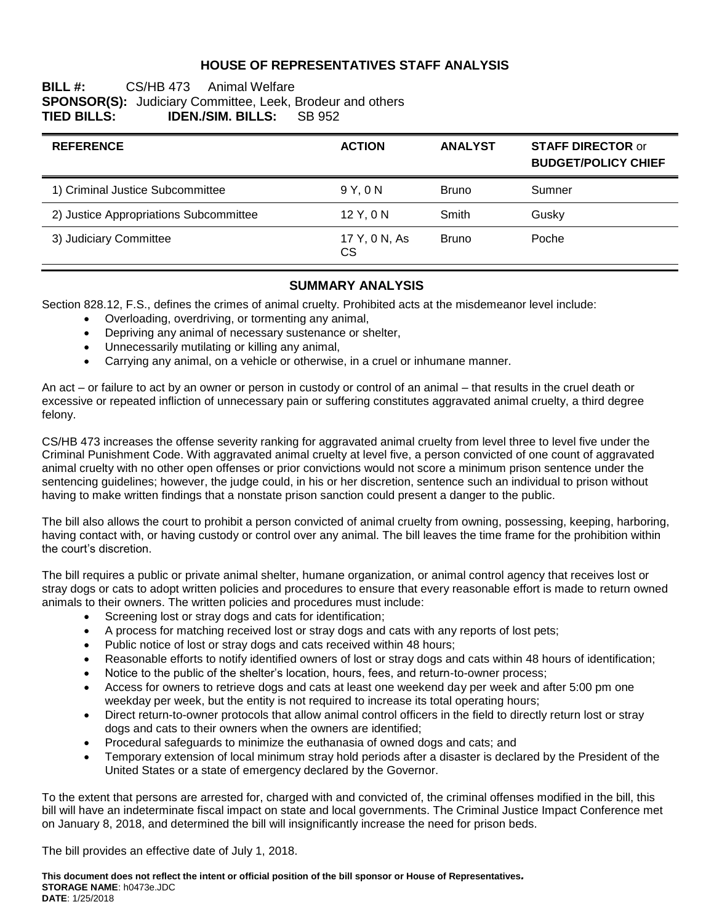### **HOUSE OF REPRESENTATIVES STAFF ANALYSIS**

### **BILL #:** CS/HB 473 Animal Welfare **SPONSOR(S):** Judiciary Committee, Leek, Brodeur and others **TIED BILLS: IDEN./SIM. BILLS:** SB 952

| <b>REFERENCE</b>                       | <b>ACTION</b>       | <b>ANALYST</b> | <b>STAFF DIRECTOR or</b><br><b>BUDGET/POLICY CHIEF</b> |
|----------------------------------------|---------------------|----------------|--------------------------------------------------------|
| 1) Criminal Justice Subcommittee       | 9 Y.ON              | <b>Bruno</b>   | Sumner                                                 |
| 2) Justice Appropriations Subcommittee | 12 Y, 0 N           | Smith          | Gusky                                                  |
| 3) Judiciary Committee                 | 17 Y, 0 N, As<br>CS | <b>Bruno</b>   | Poche                                                  |

### **SUMMARY ANALYSIS**

Section 828.12, F.S., defines the crimes of animal cruelty. Prohibited acts at the misdemeanor level include:

- Overloading, overdriving, or tormenting any animal,
- Depriving any animal of necessary sustenance or shelter,
- Unnecessarily mutilating or killing any animal,
- Carrying any animal, on a vehicle or otherwise, in a cruel or inhumane manner.

An act – or failure to act by an owner or person in custody or control of an animal – that results in the cruel death or excessive or repeated infliction of unnecessary pain or suffering constitutes aggravated animal cruelty, a third degree felony.

CS/HB 473 increases the offense severity ranking for aggravated animal cruelty from level three to level five under the Criminal Punishment Code. With aggravated animal cruelty at level five, a person convicted of one count of aggravated animal cruelty with no other open offenses or prior convictions would not score a minimum prison sentence under the sentencing guidelines; however, the judge could, in his or her discretion, sentence such an individual to prison without having to make written findings that a nonstate prison sanction could present a danger to the public.

The bill also allows the court to prohibit a person convicted of animal cruelty from owning, possessing, keeping, harboring, having contact with, or having custody or control over any animal. The bill leaves the time frame for the prohibition within the court's discretion.

The bill requires a public or private animal shelter, humane organization, or animal control agency that receives lost or stray dogs or cats to adopt written policies and procedures to ensure that every reasonable effort is made to return owned animals to their owners. The written policies and procedures must include:

- Screening lost or stray dogs and cats for identification;
- A process for matching received lost or stray dogs and cats with any reports of lost pets;
- Public notice of lost or stray dogs and cats received within 48 hours;
- Reasonable efforts to notify identified owners of lost or stray dogs and cats within 48 hours of identification;
- Notice to the public of the shelter's location, hours, fees, and return-to-owner process;
- Access for owners to retrieve dogs and cats at least one weekend day per week and after 5:00 pm one weekday per week, but the entity is not required to increase its total operating hours;
- Direct return-to-owner protocols that allow animal control officers in the field to directly return lost or stray dogs and cats to their owners when the owners are identified;
- Procedural safeguards to minimize the euthanasia of owned dogs and cats; and
- Temporary extension of local minimum stray hold periods after a disaster is declared by the President of the United States or a state of emergency declared by the Governor.

To the extent that persons are arrested for, charged with and convicted of, the criminal offenses modified in the bill, this bill will have an indeterminate fiscal impact on state and local governments. The Criminal Justice Impact Conference met on January 8, 2018, and determined the bill will insignificantly increase the need for prison beds.

The bill provides an effective date of July 1, 2018.

**This document does not reflect the intent or official position of the bill sponsor or House of Representatives***.* **STORAGE NAME**: h0473e.JDC **DATE**: 1/25/2018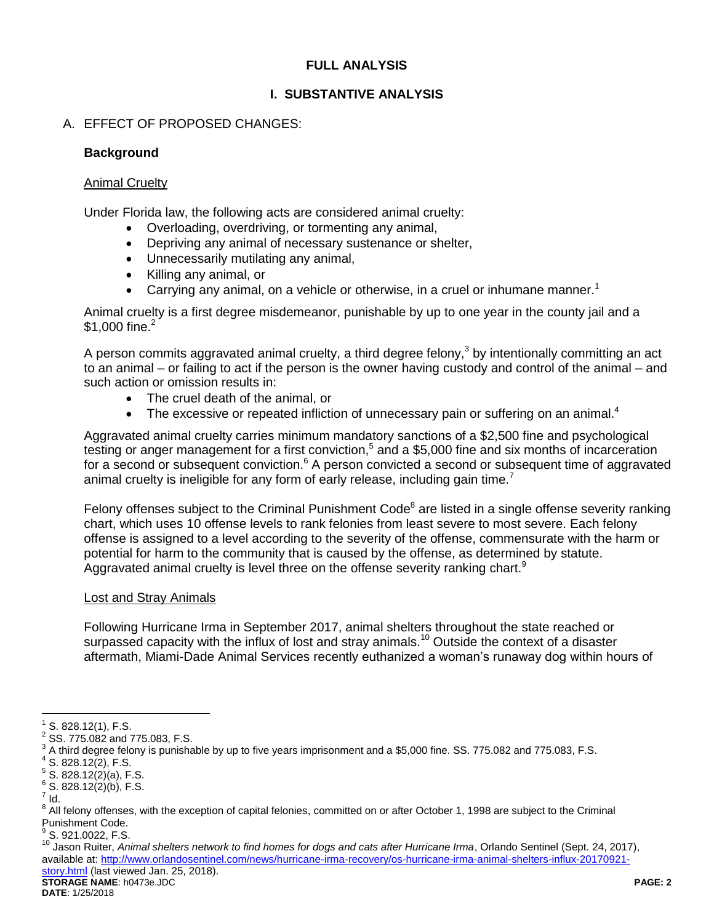## **FULL ANALYSIS**

## **I. SUBSTANTIVE ANALYSIS**

## A. EFFECT OF PROPOSED CHANGES:

### **Background**

### Animal Cruelty

Under Florida law, the following acts are considered animal cruelty:

- Overloading, overdriving, or tormenting any animal,
- Depriving any animal of necessary sustenance or shelter,
- Unnecessarily mutilating any animal,
- Killing any animal, or
- **Carrying any animal, on a vehicle or otherwise, in a cruel or inhumane manner.**<sup>1</sup>

Animal cruelty is a first degree misdemeanor, punishable by up to one year in the county jail and a \$1,000 fine.<sup>2</sup>

A person commits aggravated animal cruelty, a third degree felony,<sup>3</sup> by intentionally committing an act to an animal – or failing to act if the person is the owner having custody and control of the animal – and such action or omission results in:

- The cruel death of the animal, or
- $\bullet$  The excessive or repeated infliction of unnecessary pain or suffering on an animal.<sup>4</sup>

Aggravated animal cruelty carries minimum mandatory sanctions of a \$2,500 fine and psychological testing or anger management for a first conviction,<sup>5</sup> and a \$5,000 fine and six months of incarceration for a second or subsequent conviction.<sup>6</sup> A person convicted a second or subsequent time of aggravated animal cruelty is ineligible for any form of early release, including gain time.<sup>7</sup>

Felony offenses subject to the Criminal Punishment Code<sup>8</sup> are listed in a single offense severity ranking chart, which uses 10 offense levels to rank felonies from least severe to most severe. Each felony offense is assigned to a level according to the severity of the offense, commensurate with the harm or potential for harm to the community that is caused by the offense, as determined by statute. Aggravated animal cruelty is level three on the offense severity ranking chart.<sup>9</sup>

#### Lost and Stray Animals

Following Hurricane Irma in September 2017, animal shelters throughout the state reached or surpassed capacity with the influx of lost and stray animals.<sup>10</sup> Outside the context of a disaster aftermath, Miami-Dade Animal Services recently euthanized a woman's runaway dog within hours of

 $\overline{a}$ 

 $1$  S. 828.12(1), F.S.

 $^{2}$  SS. 775.082 and 775.083, F.S.

 $^3$  A third degree felony is punishable by up to five years imprisonment and a \$5,000 fine. SS. 775.082 and 775.083, F.S.

 $4$  S. 828.12(2), F.S.

 $5$  S. 828.12(2)(a), F.S.

 $6$  S. 828.12(2)(b), F.S.

 $^7$  Id.

<sup>&</sup>lt;sup>8</sup> All felony offenses, with the exception of capital felonies, committed on or after October 1, 1998 are subject to the Criminal Punishment Code.

 $\frac{9}{5}$  S. 921.0022, F.S.

**STORAGE NAME**: h0473e.JDC **PAGE: 2** <sup>10</sup> Jason Ruiter, *Animal shelters network to find homes for dogs and cats after Hurricane Irma*, Orlando Sentinel (Sept. 24, 2017), available at[: http://www.orlandosentinel.com/news/hurricane-irma-recovery/os-hurricane-irma-animal-shelters-influx-20170921](http://www.orlandosentinel.com/news/hurricane-irma-recovery/os-hurricane-irma-animal-shelters-influx-20170921-story.html) [story.html](http://www.orlandosentinel.com/news/hurricane-irma-recovery/os-hurricane-irma-animal-shelters-influx-20170921-story.html) (last viewed Jan. 25, 2018).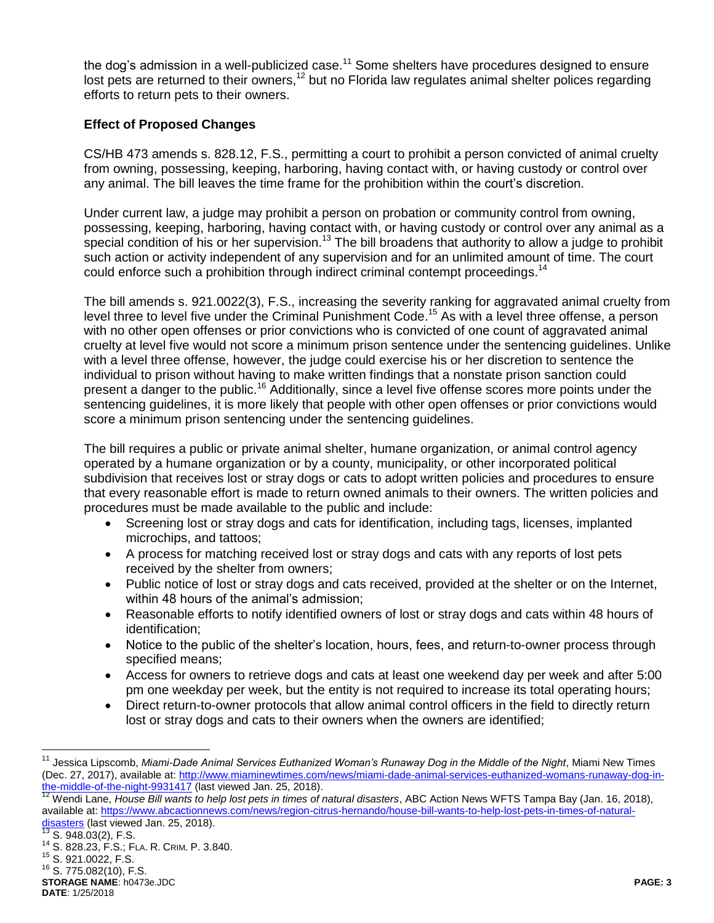the dog's admission in a well-publicized case.<sup>11</sup> Some shelters have procedures designed to ensure lost pets are returned to their owners,<sup>12</sup> but no Florida law regulates animal shelter polices regarding efforts to return pets to their owners.

## **Effect of Proposed Changes**

CS/HB 473 amends s. 828.12, F.S., permitting a court to prohibit a person convicted of animal cruelty from owning, possessing, keeping, harboring, having contact with, or having custody or control over any animal. The bill leaves the time frame for the prohibition within the court's discretion.

Under current law, a judge may prohibit a person on probation or community control from owning, possessing, keeping, harboring, having contact with, or having custody or control over any animal as a special condition of his or her supervision.<sup>13</sup> The bill broadens that authority to allow a judge to prohibit such action or activity independent of any supervision and for an unlimited amount of time. The court could enforce such a prohibition through indirect criminal contempt proceedings.<sup>14</sup>

The bill amends s. 921.0022(3), F.S., increasing the severity ranking for aggravated animal cruelty from level three to level five under the Criminal Punishment Code.<sup>15</sup> As with a level three offense, a person with no other open offenses or prior convictions who is convicted of one count of aggravated animal cruelty at level five would not score a minimum prison sentence under the sentencing guidelines. Unlike with a level three offense, however, the judge could exercise his or her discretion to sentence the individual to prison without having to make written findings that a nonstate prison sanction could present a danger to the public.<sup>16</sup> Additionally, since a level five offense scores more points under the sentencing guidelines, it is more likely that people with other open offenses or prior convictions would score a minimum prison sentencing under the sentencing guidelines.

The bill requires a public or private animal shelter, humane organization, or animal control agency operated by a humane organization or by a county, municipality, or other incorporated political subdivision that receives lost or stray dogs or cats to adopt written policies and procedures to ensure that every reasonable effort is made to return owned animals to their owners. The written policies and procedures must be made available to the public and include:

- Screening lost or stray dogs and cats for identification, including tags, licenses, implanted microchips, and tattoos;
- A process for matching received lost or stray dogs and cats with any reports of lost pets received by the shelter from owners;
- Public notice of lost or stray dogs and cats received, provided at the shelter or on the Internet, within 48 hours of the animal's admission;
- Reasonable efforts to notify identified owners of lost or stray dogs and cats within 48 hours of identification;
- Notice to the public of the shelter's location, hours, fees, and return-to-owner process through specified means;
- Access for owners to retrieve dogs and cats at least one weekend day per week and after 5:00 pm one weekday per week, but the entity is not required to increase its total operating hours;
- Direct return-to-owner protocols that allow animal control officers in the field to directly return lost or stray dogs and cats to their owners when the owners are identified;

 $13$  S. 948.03(2), F.S.

 $\overline{a}$ 

<sup>11</sup> Jessica Lipscomb, *Miami-Dade Animal Services Euthanized Woman's Runaway Dog in the Middle of the Night*, Miami New Times (Dec. 27, 2017), available at[: http://www.miaminewtimes.com/news/miami-dade-animal-services-euthanized-womans-runaway-dog-in](http://www.miaminewtimes.com/news/miami-dade-animal-services-euthanized-womans-runaway-dog-in-the-middle-of-the-night-9931417)[the-middle-of-the-night-9931417](http://www.miaminewtimes.com/news/miami-dade-animal-services-euthanized-womans-runaway-dog-in-the-middle-of-the-night-9931417) (last viewed Jan. 25, 2018).

<sup>&</sup>lt;sup>12</sup> Wendi Lane, *House Bill wants to help lost pets in times of natural disasters*, ABC Action News WFTS Tampa Bay (Jan. 16, 2018), available at[: https://www.abcactionnews.com/news/region-citrus-hernando/house-bill-wants-to-help-lost-pets-in-times-of-natural](https://www.abcactionnews.com/news/region-citrus-hernando/house-bill-wants-to-help-lost-pets-in-times-of-natural-disasters)[disasters](https://www.abcactionnews.com/news/region-citrus-hernando/house-bill-wants-to-help-lost-pets-in-times-of-natural-disasters) (last viewed Jan. 25, 2018).

<sup>14</sup> S. 828.23, F.S.; FLA. R. CRIM. P. 3.840.

<sup>15</sup> S. 921.0022, F.S.

<sup>16</sup> S. 775.082(10), F.S.

**STORAGE NAME**: h0473e.JDC **PAGE: 3 DATE**: 1/25/2018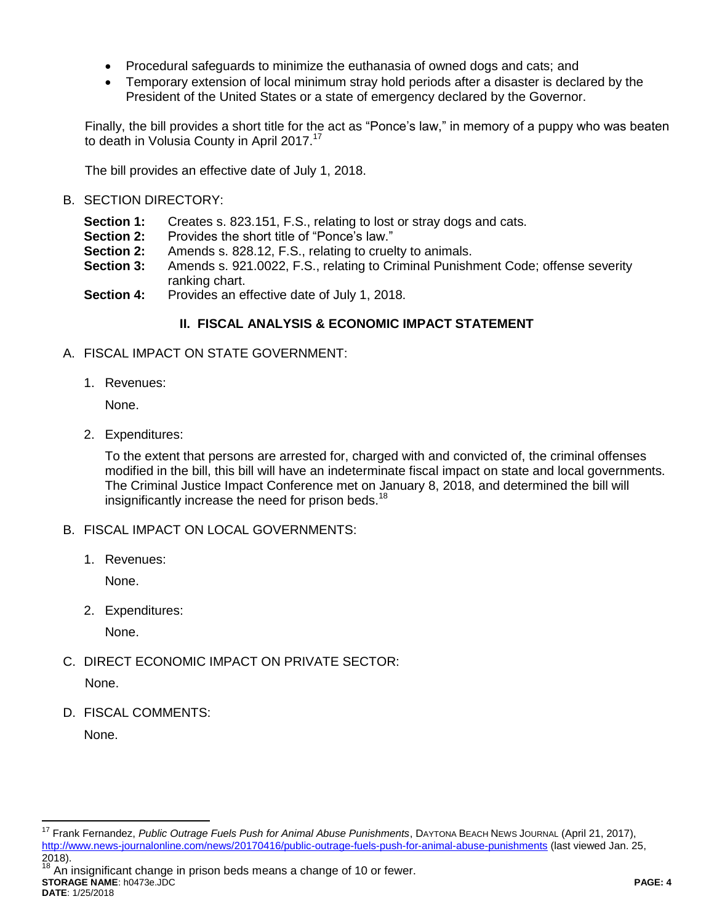- Procedural safeguards to minimize the euthanasia of owned dogs and cats; and
- Temporary extension of local minimum stray hold periods after a disaster is declared by the President of the United States or a state of emergency declared by the Governor.

Finally, the bill provides a short title for the act as "Ponce's law," in memory of a puppy who was beaten to death in Volusia County in April 2017.<sup>17</sup>

The bill provides an effective date of July 1, 2018.

## B. SECTION DIRECTORY:

- **Section 1:** Creates s. 823.151, F.S., relating to lost or stray dogs and cats.<br>**Section 2:** Provides the short title of "Ponce's law."
- Provides the short title of "Ponce's law."
- **Section 2:** Amends s. 828.12, F.S., relating to cruelty to animals.
- **Section 3:** Amends s. 921.0022, F.S., relating to Criminal Punishment Code; offense severity ranking chart.
- **Section 4:** Provides an effective date of July 1, 2018.

## **II. FISCAL ANALYSIS & ECONOMIC IMPACT STATEMENT**

- A. FISCAL IMPACT ON STATE GOVERNMENT:
	- 1. Revenues:

None.

2. Expenditures:

To the extent that persons are arrested for, charged with and convicted of, the criminal offenses modified in the bill, this bill will have an indeterminate fiscal impact on state and local governments. The Criminal Justice Impact Conference met on January 8, 2018, and determined the bill will insignificantly increase the need for prison beds.<sup>18</sup>

- B. FISCAL IMPACT ON LOCAL GOVERNMENTS:
	- 1. Revenues:

None.

2. Expenditures:

None.

C. DIRECT ECONOMIC IMPACT ON PRIVATE SECTOR:

None.

D. FISCAL COMMENTS:

None.

**STORAGE NAME**: h0473e.JDC **PAGE: 4 DATE**: 1/25/2018  $18$  An insignificant change in prison beds means a change of 10 or fewer.

 $\overline{a}$ <sup>17</sup> Frank Fernandez, *Public Outrage Fuels Push for Animal Abuse Punishments*, DAYTONA BEACH NEWS JOURNAL (April 21, 2017), <http://www.news-journalonline.com/news/20170416/public-outrage-fuels-push-for-animal-abuse-punishments> (last viewed Jan. 25, 2018).